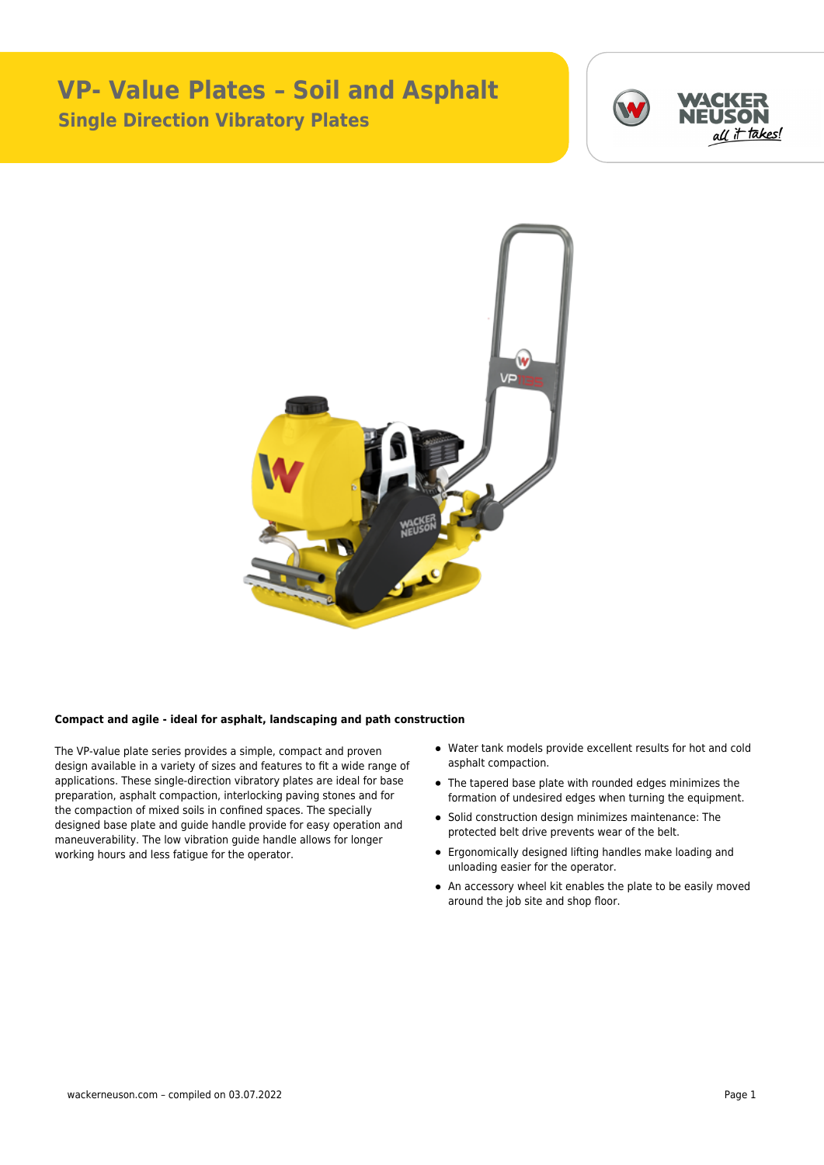## **VP- Value Plates – Soil and Asphalt Single Direction Vibratory Plates**





## **Compact and agile - ideal for asphalt, landscaping and path construction**

The VP-value plate series provides a simple, compact and proven design available in a variety of sizes and features to fit a wide range of applications. These single-direction vibratory plates are ideal for base preparation, asphalt compaction, interlocking paving stones and for the compaction of mixed soils in confined spaces. The specially designed base plate and guide handle provide for easy operation and maneuverability. The low vibration guide handle allows for longer working hours and less fatigue for the operator.

- Water tank models provide excellent results for hot and cold asphalt compaction.
- The tapered base plate with rounded edges minimizes the formation of undesired edges when turning the equipment.
- Solid construction design minimizes maintenance: The protected belt drive prevents wear of the belt.
- Ergonomically designed lifting handles make loading and unloading easier for the operator.
- An accessory wheel kit enables the plate to be easily moved around the job site and shop floor.